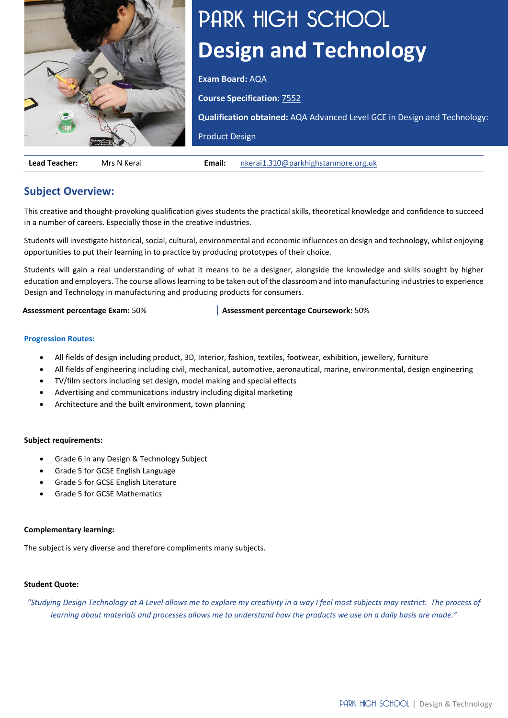

# PARK HIGH SCHOOL **Design and Technology**

**Exam Board:** AQA

**Course Specification:** [7552](https://filestore.aqa.org.uk/resources/design-and-technology/specifications/AQA-7552-SP-2017.PDF)

**Qualification obtained:** AQA Advanced Level GCE in Design and Technology:

Product Design

**Lead Teacher:** Mrs N Kerai **Email:** [nkerai1.310@parkhighstanmore.org.uk](mailto:nkerai1.310@parkhighstanmore.org.uk)

# **Subject Overview:**

This creative and thought-provoking qualification gives students the practical skills, theoretical knowledge and confidence to succeed in a number of careers. Especially those in the creative industries.

Students will investigate historical, social, cultural, environmental and economic influences on design and technology, whilst enjoying opportunities to put their learning in to practice by producing prototypes of their choice.

Students will gain a real understanding of what it means to be a designer, alongside the knowledge and skills sought by higher education and employers. The course allows learning to be taken out of the classroom and into manufacturing industries to experience Design and Technology in manufacturing and producing products for consumers.

**Assessment percentage Exam:** 50% **Assessment percentage Coursework:** 50%

# **[Progression Routes:](https://www.parkhighstanmore.org.uk/careersandemploaybility/studentresources)**

- All fields of design including product, 3D, Interior, fashion, textiles, footwear, exhibition, jewellery, furniture
- All fields of engineering including civil, mechanical, automotive, aeronautical, marine, environmental, design engineering
- TV/film sectors including set design, model making and special effects
- Advertising and communications industry including digital marketing
- Architecture and the built environment, town planning

# **Subject requirements:**

- Grade 6 in any Design & Technology Subject
- Grade 5 for GCSE English Language
- Grade 5 for GCSE English Literature
- Grade 5 for GCSE Mathematics

# **Complementary learning:**

The subject is very diverse and therefore compliments many subjects.

# **Student Quote:**

*"Studying Design Technology at A Level allows me to explore my creativity in a way I feel most subjects may restrict. The process of learning about materials and processes allows me to understand how the products we use on a daily basis are made."*